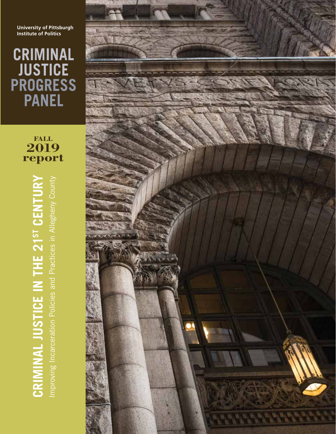**University of Pittsburgh Institute of Politics**

# **CRIMINAL JUSTICE PROGRESS PANEL**

**FALL 2019 report**

# **CRIMINAL JUSTICE IN THE 21<sup>ST</sup> CENTURY**<br>Improving Incarceration Policies and Practices in Allegheny County Improving Incarceration Policies and Practices in Allegheny County **CRIMINAL JUSTICE IN THE 21ST CENTURY**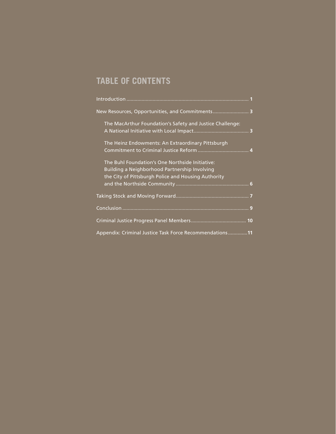## **TABLE OF CONTENTS**

| New Resources, Opportunities, and Commitments 3          |
|----------------------------------------------------------|
| The MacArthur Foundation's Safety and Justice Challenge: |
| The Heinz Endowments: An Extraordinary Pittsburgh        |
|                                                          |
| The Buhl Foundation's One Northside Initiative:          |
| Building a Neighborhood Partnership Involving            |
| the City of Pittsburgh Police and Housing Authority      |
|                                                          |
|                                                          |
|                                                          |
| Appendix: Criminal Justice Task Force Recommendations11  |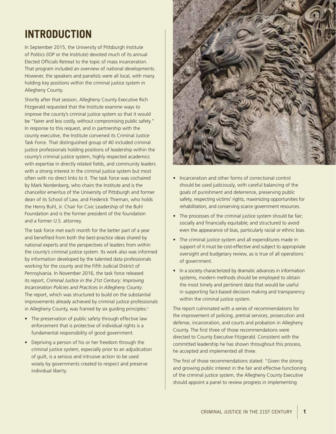# **INTRODUCTION**

In September 2015, the University of Pittsburgh Institute of Politics (IOP or the Institute) devoted much of its annual Elected Officials Retreat to the topic of mass incarceration. That program included an overview of national developments. However, the speakers and panelists were all local, with many holding key positions within the criminal justice system in Allegheny County.

Shortly after that session, Allegheny County Executive Rich Fitzgerald requested that the Institute examine ways to improve the county's criminal justice system so that it would be "fairer and less costly, without compromising public safety." In response to this request, and in partnership with the county executive, the Institute convened its Criminal Justice Task Force. That distinguished group of 40 included criminal justice professionals holding positions of leadership within the county's criminal justice system, highly respected academics with expertise in directly related fields, and community leaders with a strong interest in the criminal justice system but most often with no direct links to it. The task force was cochaired by Mark Nordenberg, who chairs the Institute and is the chancellor emeritus of the University of Pittsburgh and former dean of its School of Law, and Frederick Thieman, who holds the Henry Buhl, Jr. Chair for Civic Leadership of the Buhl Foundation and is the former president of the foundation and a former U.S. attorney.

The task force met each month for the better part of a year and benefited from both the best-practice ideas shared by national experts and the perspectives of leaders from within the county's criminal justice system. Its work also was informed by information developed by the talented data professionals working for the county and the Fifth Judicial District of Pennsylvania. In November 2016, the task force released its report, *Criminal Justice in the 21st Century: Improving Incarceration Policies and Practices in Allegheny County*. The report, which was structured to build on the substantial improvements already achieved by criminal justice professionals in Allegheny County, was framed by six guiding principles:<sup>1</sup>

- The preservation of public safety through effective law enforcement that is protective of individual rights is a fundamental responsibility of good government.
- Depriving a person of his or her freedom through the criminal justice system, especially prior to an adjudication of guilt, is a serious and intrusive action to be used wisely by governments created to respect and preserve individual liberty.



- Incarceration and other forms of correctional control should be used judiciously, with careful balancing of the goals of punishment and deterrence, preserving public safety, respecting victims' rights, maximizing opportunities for rehabilitation, and conserving scarce government resources.
- The processes of the criminal justice system should be fair; socially and financially equitable; and structured to avoid even the appearance of bias, particularly racial or ethnic bias.
- The criminal justice system and all expenditures made in support of it must be cost-effective and subject to appropriate oversight and budgetary review, as is true of all operations ` of government.
- In a society characterized by dramatic advances in information systems, modern methods should be employed to obtain the most timely and pertinent data that would be useful in supporting fact-based decision making and transparency within the criminal justice system.

The report culminated with a series of recommendations for the improvement of policing, pretrial services, prosecution and defense, incarceration, and courts and probation in Allegheny County. The first three of those recommendations were directed to County Executive Fitzgerald. Consistent with the committed leadership he has shown throughout this process, he accepted and implemented all three.

The first of those recommendations stated: "Given the strong and growing public interest in the fair and effective functioning of the criminal justice system, the Allegheny County Executive should appoint a panel to review progress in implementing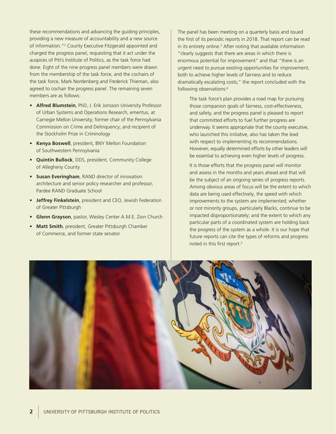these recommendations and advancing the guiding principles, providing a new measure of accountability and a new source of information."2 County Executive Fitzgerald appointed and charged the progress panel, requesting that it act under the auspices of Pitt's Institute of Politics, as the task force had done. Eight of the nine progress panel members were drawn from the membership of the task force, and the cochairs of the task force, Mark Nordenberg and Frederick Thieman, also agreed to cochair the progress panel. The remaining seven members are as follows:

- **Alfred Blumstein**, PhD, J. Erik Jonsson University Professor of Urban Systems and Operations Research, emeritus, at Carnegie Mellon University; former chair of the Pennsylvania Commission on Crime and Delinquency; and recipient of the Stockholm Prize in Criminology
- **Kenya Boswell**, president, BNY Mellon Foundation of Southwestern Pennsylvania
- **Quintin Bullock**, DDS, president, Community College of Allegheny County
- **Susan Everingham**, RAND director of innovation architecture and senior policy researcher and professor, Pardee RAND Graduate School
- **Jeffrey Finkelstein**, president and CEO, Jewish Federation of Greater Pittsburgh
- **Glenn Grayson**, pastor, Wesley Center A.M.E. Zion Church
- **Matt Smith**, president, Greater Pittsburgh Chamber of Commerce, and former state senator

The panel has been meeting on a quarterly basis and issued the first of its periodic reports in 2018. That report can be read in its entirety online.<sup>3</sup> After noting that available information "clearly suggests that there are areas in which there is enormous potential for improvement" and that "there is an urgent need to pursue existing opportunities for improvement, both to achieve higher levels of fairness and to reduce dramatically escalating costs," the report concluded with the following observations:4

The task force's plan provides a road map for pursuing those companion goals of fairness, cost-effectiveness, and safety, and the progress panel is pleased to report that committed efforts to fuel further progress are underway. It seems appropriate that the county executive, who launched this initiative, also has taken the lead with respect to implementing its recommendations. However, equally determined efforts by other leaders will be essential to achieving even higher levels of progress.

It is those efforts that the progress panel will monitor and assess in the months and years ahead and that will be the subject of an ongoing series of progress reports. Among obvious areas of focus will be the extent to which data are being used effectively; the speed with which improvements to the system are implemented; whether or not minority groups, particularly Blacks, continue to be impacted disproportionately; and the extent to which any particular parts of a coordinated system are holding back the progress of the system as a whole. It is our hope that future reports can cite the types of reforms and progress noted in this first report.5

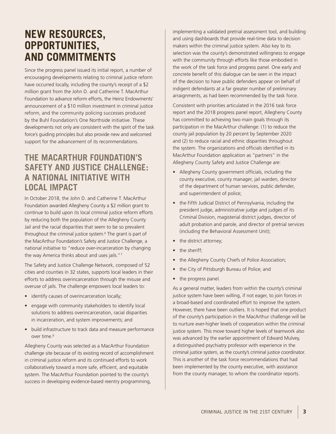## **NEW RESOURCES, OPPORTUNITIES, AND COMMITMENTS**

Since the progress panel issued its initial report, a number of encouraging developments relating to criminal justice reform have occurred locally, including the county's receipt of a \$2 million grant from the John D. and Catherine T. MacArthur Foundation to advance reform efforts, the Heinz Endowments' announcement of a \$10 million investment in criminal justice reform, and the community policing successes produced by the Buhl Foundation's One Northside initiative. These developments not only are consistent with the spirit of the task force's guiding principles but also provide new and welcomed support for the advancement of its recommendations.

## **THE MACARTHUR FOUNDATION'S SAFETY AND JUSTICE CHALLENGE: A NATIONAL INITIATIVE WITH LOCAL IMPACT**

In October 2018, the John D. and Catherine T. MacArthur Foundation awarded Allegheny County a \$2 million grant to continue to build upon its local criminal justice reform efforts by reducing both the population of the Allegheny County Jail and the racial disparities that seem to be so prevalent throughout the criminal justice system.6 The grant is part of the MacArthur Foundation's Safety and Justice Challenge, a national initiative to "reduce over-incarceration by changing the way America thinks about and uses jails."<sup>7</sup>

The Safety and Justice Challenge Network, composed of 52 cities and counties in 32 states, supports local leaders in their efforts to address overincarceration through the misuse and overuse of jails. The challenge empowers local leaders to:

- identify causes of overincarceration locally;
- engage with community stakeholders to identify local solutions to address overincarceration, racial disparities in incarceration, and system improvements; and
- build infrastructure to track data and measure performance  $over time<sup>8</sup>$

Allegheny County was selected as a MacArthur Foundation challenge site because of its existing record of accomplishment in criminal justice reform and its continued efforts to work collaboratively toward a more safe, efficient, and equitable system. The MacArthur Foundation pointed to the county's success in developing evidence-based reentry programming,

implementing a validated pretrial assessment tool, and building and using dashboards that provide real-time data to decision makers within the criminal justice system. Also key to its selection was the county's demonstrated willingness to engage with the community through efforts like those embodied in the work of the task force and progress panel. One early and concrete benefit of this dialogue can be seen in the impact of the decision to have public defenders appear on behalf of indigent defendants at a far greater number of preliminary arraignments, as had been recommended by the task force.

Consistent with priorities articulated in the 2016 task force report and the 2018 progress panel report, Allegheny County has committed to achieving two main goals through its participation in the MacArthur challenge: (1) to reduce the county jail population by 20 percent by September 2020 and (2) to reduce racial and ethnic disparities throughout the system. The organizations and officials identified in its MacArthur Foundation application as "partners" in the Allegheny County Safety and Justice Challenge are:

- Allegheny County government officials, including the county executive, county manager, jail warden, director of the department of human services, public defender, and superintendent of police;
- the Fifth Judicial District of Pennsylvania, including the president judge, administrative judge and judges of its Criminal Division, magisterial district judges, director of adult probation and parole, and director of pretrial services (including the Behavioral Assessment Unit);
- the district attorney;
- the sheriff;
- the Allegheny County Chiefs of Police Association;
- the City of Pittsburgh Bureau of Police; and
- the progress panel.

As a general matter, leaders from within the county's criminal justice system have been willing, if not eager, to join forces in a broad-based and coordinated effort to improve the system. However, there have been outliers. It is hoped that one product of the county's participation in the MacArthur challenge will be to nurture ever-higher levels of cooperation within the criminal justice system. This move toward higher levels of teamwork also was advanced by the earlier appointment of Edward Mulvey, a distinguished psychiatry professor with experience in the criminal justice system, as the county's criminal justice coordinator. This is another of the task force recommendations that had been implemented by the county executive, with assistance from the county manager, to whom the coordinator reports.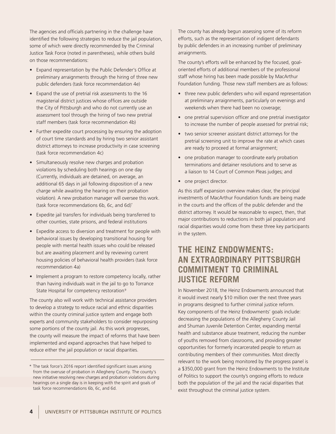The agencies and officials partnering in the challenge have identified the following strategies to reduce the jail population, some of which were directly recommended by the Criminal Justice Task Force (noted in parentheses), while others build on those recommendations:

- Expand representation by the Public Defender's Office at preliminary arraignments through the hiring of three new public defenders (task force recommendation 4e)
- Expand the use of pretrial risk assessments to the 16 magisterial district justices whose offices are outside the City of Pittsburgh and who do not currently use an assessment tool through the hiring of two new pretrial staff members (task force recommendation 4b)
- Further expedite court processing by ensuring the adoption of court time standards and by hiring two senior assistant district attorneys to increase productivity in case screening (task force recommendation 4c)
- Simultaneously resolve new charges and probation violations by scheduling both hearings on one day (Currently, individuals are detained, on average, an additional 65 days in jail following disposition of a new charge while awaiting the hearing on their probation violation). A new probation manager will oversee this work. (task force recommendations 6b, 6c, and 6d)\*
- Expedite jail transfers for individuals being transferred to other counties, state prisons, and federal institutions
- Expedite access to diversion and treatment for people with behavioral issues by developing transitional housing for people with mental health issues who could be released but are awaiting placement and by reviewing current housing policies of behavioral health providers (task force recommendation 4a)
- Implement a program to restore competency locally, rather than having individuals wait in the jail to go to Torrance State Hospital for competency restoration<sup>9</sup>

The county also will work with technical assistance providers to develop a strategy to reduce racial and ethnic disparities within the county criminal justice system and engage both experts and community stakeholders to consider repurposing some portions of the county jail. As this work progresses, the county will measure the impact of reforms that have been implemented and expand approaches that have helped to reduce either the jail population or racial disparities.

The county has already begun assessing some of its reform efforts, such as the representation of indigent defendants by public defenders in an increasing number of preliminary arraignments.

The county's efforts will be enhanced by the focused, goaloriented efforts of additional members of the professional staff whose hiring has been made possible by MacArthur Foundation funding. Those new staff members are as follows:

- three new public defenders who will expand representation at preliminary arraignments, particularly on evenings and weekends when there had been no coverage;
- one pretrial supervision officer and one pretrial investigator to increase the number of people assessed for pretrial risk;
- two senior screener assistant district attorneys for the pretrial screening unit to improve the rate at which cases are ready to proceed at formal arraignment;
- one probation manager to coordinate early probation terminations and detainer resolutions and to serve as a liaison to 14 Court of Common Pleas judges; and
- one project director.

As this staff expansion overview makes clear, the principal investments of MacArthur Foundation funds are being made in the courts and the offices of the public defender and the district attorney. It would be reasonable to expect, then, that major contributions to reductions in both jail population and racial disparities would come from these three key participants in the system.

## **THE HEINZ ENDOWMENTS: AN EXTRAORDINARY PITTSBURGH COMMITMENT TO CRIMINAL JUSTICE REFORM**

In November 2018, the Heinz Endowments announced that it would invest nearly \$10 million over the next three years in programs designed to further criminal justice reform. Key components of the Heinz Endowments' goals include: decreasing the populations of the Allegheny County Jail and Shuman Juvenile Detention Center, expanding mental health and substance abuse treatment, reducing the number of youths removed from classrooms, and providing greater opportunities for formerly incarcerated people to return as contributing members of their communities. Most directly relevant to the work being monitored by the progress panel is a \$350,000 grant from the Heinz Endowments to the Institute of Politics to support the county's ongoing efforts to reduce both the population of the jail and the racial disparities that exist throughout the criminal justice system.

<sup>\*</sup> The task force's 2016 report identified significant issues arising from the overuse of probation in Allegheny County. The county's new initiative resolving new charges and probation violations during hearings on a single day is in keeping with the spirit and goals of task force recommendations 6b, 6c, and 6d.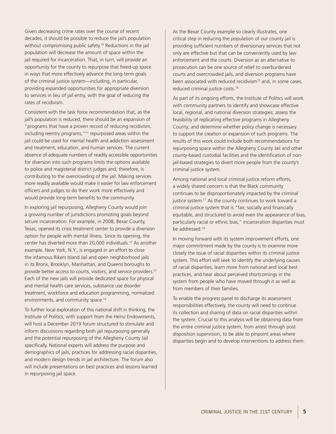Given decreasing crime rates over the course of recent decades, it should be possible to reduce the jail's population without compromising public safety.<sup>10</sup> Reductions in the jail population will decrease the amount of space within the jail required for incarceration. That, in turn, will provide an opportunity for the county to repurpose that freed-up space in ways that more effectively advance the long-term goals of the criminal justice system—including, in particular, providing expanded opportunities for appropriate diversion to services in lieu of jail entry, with the goal of reducing the rates of recidivism.

Consistent with the task force recommendation that, as the jail's population is reduced, there should be an expansion of "programs that have a proven record of reducing recidivism, including reentry programs,"11 repurposed areas within the jail could be used for mental health and addiction assessment and treatment, education, and human services. The current absence of adequate numbers of readily accessible opportunities for diversion into such programs limits the options available to police and magisterial district judges and, therefore, is contributing to the overcrowding of the jail. Making services more readily available would make it easier for law enforcement officers and judges to do their work more effectively and would provide long-term benefits to the community.

In exploring jail repurposing, Allegheny County would join a growing number of jurisdictions promoting goals beyond secure incarceration. For example, in 2008, Bexar County, Texas, opened its crisis treatment center to provide a diversion option for people with mental illness. Since its opening, the center has diverted more than 20,000 individuals.12 As another example, New York, N.Y., is engaged in an effort to close the infamous Rikers Island Jail and open neighborhood jails in its Bronx, Brooklyn, Manhattan, and Queens boroughs to provide better access to courts, visitors, and service providers.<sup>13</sup> Each of the new jails will provide dedicated space for physical and mental health care services, substance use disorder treatment, workforce and education programming, normalized environments, and community space.<sup>14</sup>

To further local exploration of this national shift in thinking, the Institute of Politics, with support from the Heinz Endowments, will host a December 2019 forum structured to stimulate and inform discussions regarding both jail repurposing generally and the potential repurposing of the Allegheny County Jail specifically. National experts will address the purpose and demographics of jails, practices for addressing racial disparities, and modern design trends in jail architecture. The forum also will include presentations on best practices and lessons learned in repurposing jail space.

As the Bexar County example so clearly illustrates, one critical step in reducing the population of our county jail is providing sufficient numbers of diversionary services that not only are effective but that can be conveniently used by law enforcement and the courts. Diversion as an alternative to prosecution can be one source of relief to overburdened courts and overcrowded jails, and diversion programs have been associated with reduced recidivism<sup>15</sup> and, in some cases, reduced criminal justice costs.16

As part of its ongoing efforts, the Institute of Politics will work with community partners to identify and showcase effective local, regional, and national diversion strategies; assess the feasibility of replicating effective programs in Allegheny County; and determine whether policy change is necessary to support the creation or expansion of such programs. The results of this work could include both recommendations for repurposing space within the Allegheny County Jail and other county-based custodial facilities and the identification of nonjail-based strategies to divert more people from the county's criminal justice system.

Among national and local criminal justice reform efforts, a widely shared concern is that the Black community continues to be disproportionately impacted by the criminal justice system.<sup>17</sup> As the county continues to work toward a criminal justice system that is "fair, socially and financially equitable, and structured to avoid even the appearance of bias, particularly racial or ethnic bias," incarceration disparities must be addressed.<sup>18</sup>

In moving forward with its system improvement efforts, one major commitment made by the county is to examine more closely the issue of racial disparities within its criminal justice system. This effort will seek to identify the underlying causes of racial disparities, learn more from national and local best practices, and hear about perceived shortcomings in the system from people who have moved through it as well as from members of their families.

To enable the progress panel to discharge its assessment responsibilities effectively, the county will need to continue its collection and sharing of data on racial disparities within the system. Crucial to this analysis will be obtaining data from the entire criminal justice system, from arrest through post disposition supervision, to be able to pinpoint areas where disparities begin and to develop interventions to address them.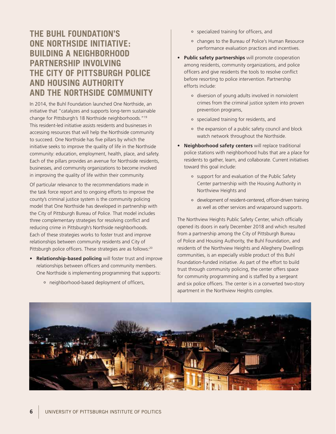## **THE BUHL FOUNDATION'S ONE NORTHSIDE INITIATIVE: BUILDING A NEIGHBORHOOD PARTNERSHIP INVOLVING THE CITY OF PITTSBURGH POLICE AND HOUSING AUTHORITY AND THE NORTHSIDE COMMUNITY**

In 2014, the Buhl Foundation launched One Northside, an initiative that "catalyzes and supports long-term sustainable change for Pittsburgh's 18 Northside neighborhoods."19 This resident-led initiative assists residents and businesses in accessing resources that will help the Northside community to succeed. One Northside has five pillars by which the initiative seeks to improve the quality of life in the Northside community: education, employment, health, place, and safety. Each of the pillars provides an avenue for Northside residents, businesses, and community organizations to become involved in improving the quality of life within their community.

Of particular relevance to the recommendations made in the task force report and to ongoing efforts to improve the county's criminal justice system is the community policing model that One Northside has developed in partnership with the City of Pittsburgh Bureau of Police. That model includes three complementary strategies for resolving conflict and reducing crime in Pittsburgh's Northside neighborhoods. Each of these strategies works to foster trust and improve relationships between community residents and City of Pittsburgh police officers. These strategies are as follows:<sup>20</sup>

- **Relationship-based policing** will foster trust and improve relationships between officers and community members. One Northside is implementing programming that supports:
	- neighborhood-based deployment of officers,
- specialized training for officers, and
- o changes to the Bureau of Police's Human Resource performance evaluation practices and incentives.
- **Public safety partnerships** will promote cooperation among residents, community organizations, and police officers and give residents the tools to resolve conflict before resorting to police intervention. Partnership efforts include:
	- diversion of young adults involved in nonviolent crimes from the criminal justice system into proven prevention programs,
	- specialized training for residents, and
	- o the expansion of a public safety council and block watch network throughout the Northside.
- **Neighborhood safety centers** will replace traditional police stations with neighborhood hubs that are a place for residents to gather, learn, and collaborate. Current initiatives toward this goal include:
	- support for and evaluation of the Public Safety Center partnership with the Housing Authority in Northview Heights and
	- development of resident-centered, officer-driven training as well as other services and wraparound supports.

The Northview Heights Public Safety Center, which officially opened its doors in early December 2018 and which resulted from a partnership among the City of Pittsburgh Bureau of Police and Housing Authority, the Buhl Foundation, and residents of the Northview Heights and Allegheny Dwellings communities, is an especially visible product of this Buhl Foundation-funded initiative. As part of the effort to build trust through community policing, the center offers space for community programming and is staffed by a sergeant and six police officers. The center is in a converted two-story apartment in the Northview Heights complex.

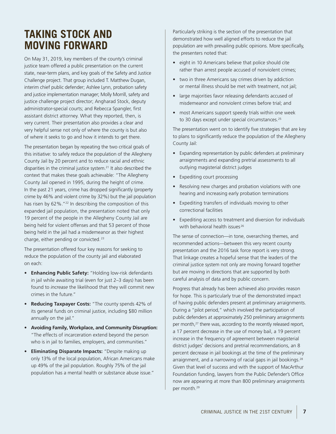## **TAKING STOCK AND MOVING FORWARD**

On May 31, 2019, key members of the county's criminal justice team offered a public presentation on the current state, near-term plans, and key goals of the Safety and Justice Challenge project. That group included T. Matthew Dugan, interim chief public defender; Ashlee Lynn, probation safety and justice implementation manager; Molly Morrill, safety and justice challenge project director; Angharad Stock, deputy administrator-special courts; and Rebecca Spangler, first assistant district attorney. What they reported, then, is very current. Their presentation also provides a clear and very helpful sense not only of where the county is but also of where it seeks to go and how it intends to get there.

The presentation began by repeating the two critical goals of this initiative: to safely reduce the population of the Allegheny County Jail by 20 percent and to reduce racial and ethnic disparities in the criminal justice system.<sup>21</sup> It also described the context that makes these goals achievable: "The Allegheny County Jail opened in 1995, during the height of crime. In the past 21 years, crime has dropped significantly (property crime by 46% and violent crime by 32%) but the jail population has risen by 62%."<sup>22</sup> In describing the composition of this expanded jail population, the presentation noted that only 19 percent of the people in the Allegheny County Jail are being held for violent offenses and that 53 percent of those being held in the jail had a misdemeanor as their highest charge, either pending or convicted. 23

The presentation offered four key reasons for seeking to reduce the population of the county jail and elaborated on each:

- **Enhancing Public Safety:** "Holding low-risk defendants in jail while awaiting trial (even for just 2–3 days) has been found to *increase* the likelihood that they will commit new crimes in the future."
- **Reducing Taxpayer Costs:** "The county spends 42% of its general funds on criminal justice, including \$80 million annually on the jail."
- **Avoiding Family, Workplace, and Community Disruption:** "The effects of incarceration extend beyond the person who is in jail to families, employers, and communities."
- **Eliminating Disparate Impacts:** "Despite making up only 13% of the local population, African Americans make up 49% of the jail population. Roughly 75% of the jail population has a mental health or substance abuse issue."

Particularly striking is the section of the presentation that demonstrated how well aligned efforts to reduce the jail population are with prevailing public opinions. More specifically, the presenters noted that:

- eight in 10 Americans believe that police should cite rather than arrest people accused of nonviolent crimes;
- two in three Americans say crimes driven by addiction or mental illness should be met with treatment, not jail;
- large majorities favor releasing defendants accused of misdemeanor and nonviolent crimes before trial; and
- most Americans support speedy trials within one week to 30 days except under special circumstances.<sup>25</sup>

The presentation went on to identify five strategies that are key to plans to significantly reduce the population of the Allegheny County Jail:

- Expanding representation by public defenders at preliminary arraignments and expanding pretrial assessments to all outlying magisterial district judges
- Expediting court processing
- Resolving new charges and probation violations with one hearing and increasing early probation terminations
- Expediting transfers of individuals moving to other correctional facilities
- Expediting access to treatment and diversion for individuals with behavioral health issues<sup>26</sup>

The sense of connection—in tone, overarching themes, and recommended actions—between this very recent county presentation and the 2016 task force report is very strong. That linkage creates a hopeful sense that the leaders of the criminal justice system not only are moving forward together but are moving in directions that are supported by both careful analysis of data and by public concern.

Progress that already has been achieved also provides reason for hope. This is particularly true of the demonstrated impact of having public defenders present at preliminary arraignments. During a "pilot period," which involved the participation of public defenders at approximately 250 preliminary arraignments per month,<sup>27</sup> there was, according to the recently released report, a 17 percent decrease in the use of money bail, a 19 percent increase in the frequency of agreement between magisterial district judges' decisions and pretrial recommendations, an 8 percent decrease in jail bookings at the time of the preliminary arraignment, and a narrowing of racial gaps in jail bookings.<sup>28</sup> Given that level of success and with the support of MacArthur Foundation funding, lawyers from the Public Defender's Office now are appearing at more than 800 preliminary arraignments per month.29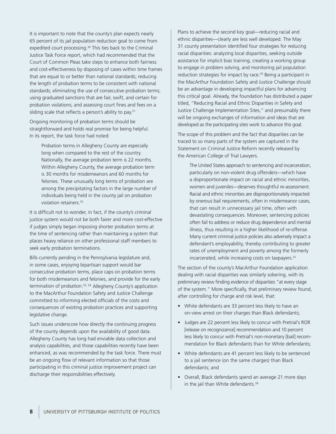It is important to note that the county's plan expects nearly 65 percent of its jail population reduction goal to come from expedited court processing.<sup>30</sup> This ties back to the Criminal Justice Task Force report, which had recommended that the Court of Common Pleas take steps to enhance both fairness and cost-effectiveness by disposing of cases within time frames that are equal to or better than national standards; reducing the length of probation terms to be consistent with national standards; eliminating the use of consecutive probation terms; using graduated sanctions that are fair, swift, and certain for probation violations; and assessing court fines and fees on a sliding scale that reflects a person's ability to pay.<sup>31</sup>

Ongoing monitoring of probation terms should be straightforward and holds real promise for being helpful. In its report, the task force had noted:

Probation terms in Allegheny County are especially long when compared to the rest of the country. Nationally, the average probation term is 22 months. Within Allegheny County, the average probation term is 30 months for misdemeanors and 60 months for felonies. These unusually long terms of probation are among the precipitating factors in the large number of individuals being held in the county jail on probation violation retainers.<sup>32</sup>

It is difficult not to wonder, in fact, if the county's criminal justice system would not be both fairer and more cost-effective if judges simply began imposing shorter probation terms at the time of sentencing rather than maintaining a system that places heavy reliance on other professional staff members to seek early probation terminations.

Bills currently pending in the Pennsylvania legislature and, in some cases, enjoying bipartisan support would bar consecutive probation terms, place caps on probation terms for both misdemeanors and felonies, and provide for the early termination of probation.33, 34 Allegheny County's application to the MacArthur Foundation Safety and Justice Challenge committed to informing elected officials of the costs and consequences of existing probation practices and supporting legislative change.

Such issues underscore how directly the continuing progress of the county depends upon the availability of good data. Allegheny County has long had enviable data collection and analysis capabilities, and those capabilities recently have been enhanced, as was recommended by the task force. There must be an ongoing flow of relevant information so that those participating in this criminal justice improvement project can discharge their responsibilities effectively.

Plans to achieve the second key goal—reducing racial and ethnic disparities—clearly are less well developed. The May 31 county presentation identified four strategies for reducing racial disparities: analyzing local disparities, seeking outside assistance for implicit bias training, creating a working group to engage in problem solving, and monitoring jail population reduction strategies for impact by race.<sup>35</sup> Being a participant in the MacArthur Foundation Safety and Justice Challenge should be an advantage in developing impactful plans for advancing this critical goal. Already, the foundation has distributed a paper titled, "Reducing Racial and Ethnic Disparities in Safety and Justice Challenge Implementation Sites," and presumably there will be ongoing exchanges of information and ideas that are developed as the participating sites work to advance this goal.

The scope of this problem and the fact that disparities can be traced to so many parts of the system are captured in the Statement on Criminal Justice Reform recently released by the American College of Trial Lawyers.

The United States approach to sentencing and incarceration, particularly on non-violent drug offenders—which have a disproportionate impact on racial and ethnic minorities, women and juveniles—deserves thoughtful re-assessment. Racial and ethnic minorities are disproportionately impacted by onerous bail requirements, often in misdemeanor cases, that can result in unnecessary jail time, often with devastating consequences. Moreover, sentencing policies often fail to address or reduce drug dependence and mental illness, thus resulting in a higher likelihood of re-offense. Many current criminal justice policies also adversely impact a defendant's employability, thereby contributing to greater rates of unemployment and poverty among the formerly incarcerated, while increasing costs on taxpayers.<sup>37</sup>

The section of the county's MacArthur Foundation application dealing with racial disparities was similarly sobering, with its preliminary review finding evidence of disparities "at every stage of the system." More specifically, that preliminary review found, after controlling for charge and risk level, that:

- White defendants are 33 percent less likely to have an on-view arrest on their charges than Black defendants;
- Judges are 22 percent less likely to concur with Pretrial's ROR [release on recognizance] recommendation and 10 percent less likely to concur with Pretrial's non-monetary [bail] recommendation for Black defendants than for White defendants;
- White defendants are 41 percent less likely to be sentenced to a jail sentence (on the same charges) than Black defendants; and
- Overall, Black defendants spend an average 21 more days in the jail than White defendants.<sup>38</sup>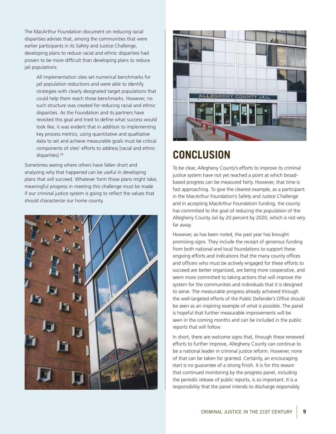The MacArthur Foundation document on reducing racial disparities advises that, among the communities that were earlier participants in its Safety and Justice Challenge, developing plans to reduce racial and ethnic disparities had proven to be more difficult than developing plans to reduce jail populations:

All implementation sites set numerical benchmarks for jail population reductions and were able to identify strategies with clearly designated target populations that could help them reach those benchmarks. However, no such structure was created for reducing racial and ethnic disparities. As the Foundation and its partners have revisited this goal and tried to define what success would look like, it was evident that in addition to implementing key process metrics, using quantitative and qualitative data to set and achieve measurable goals must be critical components of sites' efforts to address [racial and ethnic disparities].39

Sometimes seeing where others have fallen short and analyzing why that happened can be useful in developing plans that will succeed. Whatever form those plans might take, meaningful progress in meeting this challenge must be made if our criminal justice system is going to reflect the values that should characterize our home county.





## **CONCLUSION**

To be clear, Allegheny County's efforts to improve its criminal justice system have not yet reached a point at which broadbased progress can be measured fairly. However, that time is fast approaching. To give the clearest example, as a participant in the MacArthur Foundation's Safety and Justice Challenge and in accepting MacArthur Foundation funding, the county has committed to the goal of reducing the population of the Allegheny County Jail by 20 percent by 2020, which is not very far away.

However, as has been noted, the past year has brought promising signs. They include the receipt of generous funding from both national and local foundations to support these ongoing efforts and indications that the many county offices and officers who must be actively engaged for these efforts to succeed are better organized, are being more cooperative, and seem more committed to taking actions that will improve the system for the communities and individuals that it is designed to serve. The measurable progress already achieved through the well-targeted efforts of the Public Defender's Office should be seen as an inspiring example of what is possible. The panel is hopeful that further measurable improvements will be seen in the coming months and can be included in the public reports that will follow.

In short, there are welcome signs that, through these renewed efforts to further improve, Allegheny County can continue to be a national leader in criminal justice reform. However, none of that can be taken for granted. Certainly, an encouraging start is no guarantee of a strong finish. It is for this reason that continued monitoring by the progress panel, including the periodic release of public reports, is so important. It is a responsibility that the panel intends to discharge responsibly.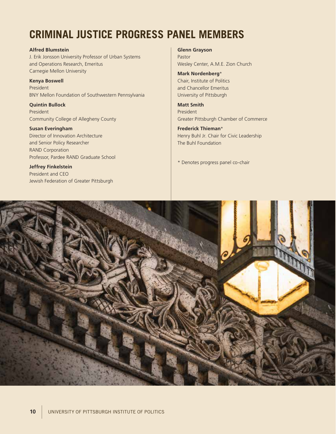# **CRIMINAL JUSTICE PROGRESS PANEL MEMBERS**

#### **Alfred Blumstein**

J. Erik Jonsson University Professor of Urban Systems and Operations Research, Emeritus Carnegie Mellon University

#### **Kenya Boswell**

President BNY Mellon Foundation of Southwestern Pennsylvania

#### **Quintin Bullock**

President Community College of Allegheny County

#### **Susan Everingham**

Director of Innovation Architecture and Senior Policy Researcher RAND Corporation Professor, Pardee RAND Graduate School

#### **Jeffrey Finkelstein**

President and CEO Jewish Federation of Greater Pittsburgh

#### **Glenn Grayson**

Pastor Wesley Center, A.M.E. Zion Church

#### **Mark Nordenberg**\* Chair, Institute of Politics and Chancellor Emeritus University of Pittsburgh

**Matt Smith** President Greater Pittsburgh Chamber of Commerce

**Frederick Thieman**\* Henry Buhl Jr. Chair for Civic Leadership The Buhl Foundation

\* Denotes progress panel co-chair

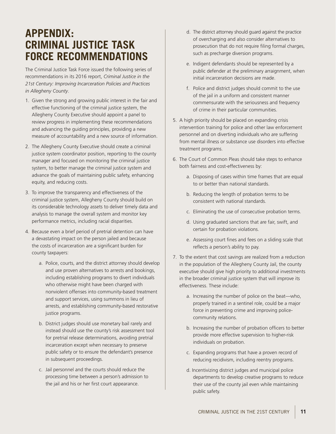## **APPENDIX: CRIMINAL JUSTICE TASK FORCE RECOMMENDATIONS**

The Criminal Justice Task Force issued the following series of recommendations in its 2016 report, *Criminal Justice in the 21st Century: Improving Incarceration Policies and Practices in Allegheny County*.

- 1. Given the strong and growing public interest in the fair and effective functioning of the criminal justice system, the Allegheny County Executive should appoint a panel to review progress in implementing these recommendations and advancing the guiding principles, providing a new measure of accountability and a new source of information.
- 2. The Allegheny County Executive should create a criminal justice system coordinator position, reporting to the county manager and focused on monitoring the criminal justice system, to better manage the criminal justice system and advance the goals of maintaining public safety, enhancing equity, and reducing costs.
- 3. To improve the transparency and effectiveness of the criminal justice system, Allegheny County should build on its considerable technology assets to deliver timely data and analysis to manage the overall system and monitor key performance metrics, including racial disparities.
- 4. Because even a brief period of pretrial detention can have a devastating impact on the person jailed and because the costs of incarceration are a significant burden for county taxpayers:
	- a. Police, courts, and the district attorney should develop and use proven alternatives to arrests and bookings, including establishing programs to divert individuals who otherwise might have been charged with nonviolent offenses into community-based treatment and support services, using summons in lieu of arrests, and establishing community-based restorative justice programs.
	- b. District judges should use monetary bail rarely and instead should use the county's risk assessment tool for pretrial release determinations, avoiding pretrial incarceration except when necessary to preserve public safety or to ensure the defendant's presence in subsequent proceedings.
	- c. Jail personnel and the courts should reduce the processing time between a person's admission to the jail and his or her first court appearance.
- d. The district attorney should guard against the practice of overcharging and also consider alternatives to prosecution that do not require filing formal charges, such as precharge diversion programs.
- e. Indigent defendants should be represented by a public defender at the preliminary arraignment, when initial incarceration decisions are made.
- f. Police and district judges should commit to the use of the jail in a uniform and consistent manner commensurate with the seriousness and frequency of crime in their particular communities.
- 5. A high priority should be placed on expanding crisis intervention training for police and other law enforcement personnel and on diverting individuals who are suffering from mental illness or substance use disorders into effective treatment programs.
- 6. The Court of Common Pleas should take steps to enhance both fairness and cost-effectiveness by:
	- a. Disposing of cases within time frames that are equal to or better than national standards.
	- b. Reducing the length of probation terms to be consistent with national standards.
	- c. Eliminating the use of consecutive probation terms.
	- d. Using graduated sanctions that are fair, swift, and certain for probation violations.
	- e. Assessing court fines and fees on a sliding scale that reflects a person's ability to pay.
- 7. To the extent that cost savings are realized from a reduction in the population of the Allegheny County Jail, the county executive should give high priority to additional investments in the broader criminal justice system that will improve its effectiveness. These include:
	- a. Increasing the number of police on the beat—who, properly trained in a sentinel role, could be a major force in preventing crime and improving police community relations.
	- b. Increasing the number of probation officers to better provide more effective supervision to higher-risk individuals on probation.
	- c. Expanding programs that have a proven record of reducing recidivism, including reentry programs.
	- d. Incentivizing district judges and municipal police departments to develop creative programs to reduce their use of the county jail even while maintaining public safety.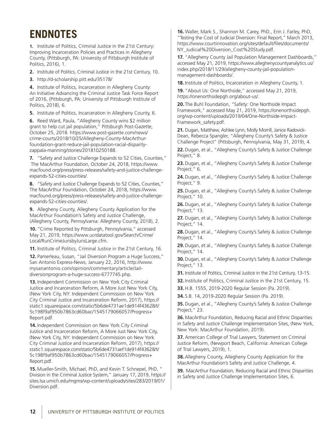# **ENDNOTES**

**1.** Institute of Politics, Criminal Justice in the 21st Century: Improving Incarceration Policies and Practices in Allegheny County, (Pittsburgh, PA: University of Pittsburgh Institute of Politics, 2016), 1.

**2.** Institute of Politics, Criminal Justice in the 21st Century, 10.

**3.** http://d-scholarship.pitt.edu/35178/

**4.** Institute of Politics, Incarceration in Allegheny County: An Initiative Advancing the Criminal Justice Task Force Report of 2016, (Pittsburgh, PA: University of Pittsburgh Institute of Politics, 2018), 6.

**5.** Institute of Politics, Incarceration in Allegheny County, 6.

**6.** Reed Ward, Paula, "Allegheny County wins \$2 million grant to help cut jail population," Pittsburgh Post-Gazette, October 25, 2018. https://www.post-gazette.com/news/ crime-courts/2018/10/25/Allegheny-County-MacArthurfoundation-grant-reduce-jail-population-racial-disparityzappala-manning/stories/201810250188.

**7.** "Safety and Justice Challenge Expands to 52 Cities, Counties," The MacArthur Foundation, October 24, 2018, https://www. macfound.org/press/press-releases/safety-and-justice-challengeexpands-52-cities-counties/.

**8.** "Safety and Justice Challenge Expands to 52 Cities, Counties," The MacArthur Foundation, October 24, 2018, https://www. macfound.org/press/press-releases/safety-and-justice-challengeexpands-52-cities-counties/.

**9.** Allegheny County, Allegheny County Application for the MacArthur Foundation's Safety and Justice Challenge, (Allegheny County, Pennsylvania: Allegheny County, 2018), 2.

**10.** "Crime Reported by Pittsburgh, Pennsylvania," accessed May 21, 2019, https://www.ucrdatatool.gov/Search/Crime/ Local/RunCrimeJurisbyJurisLarge.cfm.

**11.** Institute of Politics, Criminal Justice in the 21st Century, 16.

**12.** Pamerleau, Susan, "Jail Diversion Program a Huge Success," San Antonio Express-News, January 22, 2016, http://www. mysanantonio.com/opinion/commentary/article/Jaildiversionprogram-a-huge-success-6777745.php.

**13.** Independent Commission on New York City Criminal Justice and Incarceration Reform, A More Just New York City, (New York City, NY: Independent Commission on New York City Criminal Justice and Incarceration Reform, 2017), https:// static1.squarespace.com/static/5b6de4731ae1de914f43628/t/ 5c198f9af950b7863cd60bac/1545179066057/Progress+ Report.pdf.

**14.** Independent Commission on New York City Criminal Justice and Incarceration Reform, A More Just New York City, (New York City, NY: Independent Commission on New York City Criminal Justice and Incarceration Reform, 2017), https:// static1.squarespace.com/static/5b6de4731aef1de914f43628/t/ 5c198f9af950b7863cd60bac/1545179066057/Progress+ Report.pdf.

**15.** Mueller-Smith, Michael, PhD, and Kevin T. Schnepel, PhD, " Division in the Criminal Justice System," January 17, 2019, https:// sites.lsa.umich.edu/mgms/wp-content/uploads/sites/283/2019/01/ Diversion.pdf.

**16.** Waller, Mark S., Shannon M. Carey, PhD., Erin J. Farley, PhD, "Testing the Cost of Judicial Diversion: Final Report," March 2013, https://www.courtinnovation.org/sites/default/files/documents/ NY\_Judicial%20Diversion\_Cost%20Study.pdf.

**17.** "Allegheny County Jail Population Management Dashboards," accessed May 21, 2019, https://www.alleghenycountyanalytics.us/ index.php/2018/11/29/allegheny-county-jail-populationmanagement-dashboards/.

**18.** Institute of Politics, Incarceration in Allegheny County, 1.

**19.** "About Us: One Northside," accessed May 21, 2019, https://onenorthsidepgh.org/about-us/.

**20.** The Buhl Foundation, "Safety: One Northside Impact Framework," accessed May 21, 2019, https://onenorthsidepgh. org/wp-content/uploads/2019/04/One-Northside-Impact-Framework\_safety.pdf.

**21.** Dugan, Matthew, Ashlee Lynn, Molly Morrill, Janice Radovick-Dean, Rebecca Spangler, "Allegheny County's Safety & Justice Challenge Project" (Pittsburgh, Pennsylvania, May 31, 2019), 4.

**22.**Dugan, et al., "Allegheny County's Safety & Justice Challenge Project," 8.

**23.**Dugan, et al., "Allegheny County's Safety & Justice Challenge Project," 6.

**24.**Dugan, et al., "Allegheny County's Safety & Justice Challenge Project," 9.

**25.** Dugan, et al., "Allegheny County's Safety & Justice Challenge Project," 10.

**26.**Dugan, et al., "Allegheny County's Safety & Justice Challenge Project," 13.

**27.** Dugan, et al., "Allegheny County's Safety & Justice Challenge Project," 14.

**28.**Dugan, et al., "Allegheny County's Safety & Justice Challenge Project," 14.

**29.** Dugan, et al., "Allegheny County's Safety & Justice Challenge Project," 14.

**30.**Dugan, et al., "Allegheny County's Safety & Justice Challenge Project," 13.

**31.** Institute of Politics, Criminal Justice in the 21st Century, 13-15.

**32.**Institute of Politics, Criminal Justice in the 21st Century, 15.

**33.**H.B. 1555, 2019-2020 Regular Session (Pa. 2019).

**34.**S.B. 14, 2019-2020 Regular Session (Pa. 2019).

**35.**Dugan, et al., "Allegheny County's Safety & Justice Challenge Project," 23.

**36.** MacArthur Foundation, Reducing Racial and Ethnic Disparities in Safety and Justice Challenge Implementation Sites, (New York, New York: MacArthur Foundation, 2019).

**37.** American College of Trial Lawyers, Statement on Criminal Justice Reform, (Newport Beach, California: American College of Trial Lawyers, 2019), 1.

**38.**Allegheny County, Allegheny County Application for the MacArthur Foundation's Safety and Justice Challenge, 4.

**39.** MacArthur Foundation, Reducing Racial and Ethnic Disparities in Safety and Justice Challenge Implementation Sites, 6.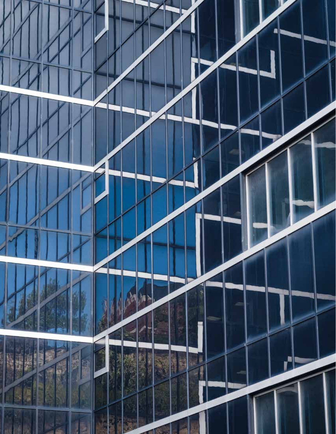